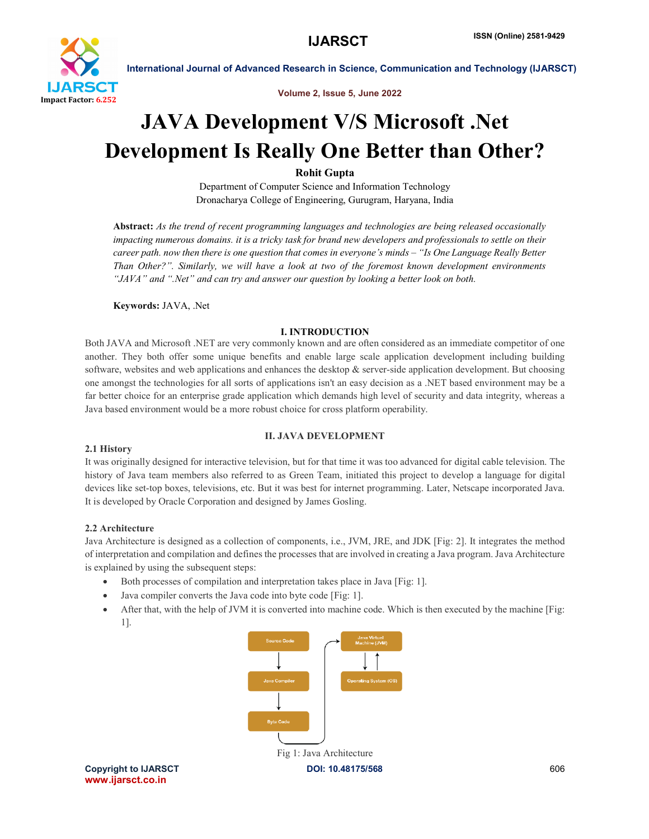

Volume 2, Issue 5, June 2022

# JAVA Development V/S Microsoft .Net Development Is Really One Better than Other?

Rohit Gupta

Department of Computer Science and Information Technology Dronacharya College of Engineering, Gurugram, Haryana, India

Abstract: *As the trend of recent programming languages and technologies are being released occasionally impacting numerous domains. it is a tricky task for brand new developers and professionals to settle on their career path. now then there is one question that comes in everyone's minds – "Is One Language Really Better Than Other?". Similarly, we will have a look at two of the foremost known development environments "JAVA" and ".Net" and can try and answer our question by looking a better look on both.*

Keywords: JAVA, .Net

# I. INTRODUCTION

Both JAVA and Microsoft .NET are very commonly known and are often considered as an immediate competitor of one another. They both offer some unique benefits and enable large scale application development including building software, websites and web applications and enhances the desktop  $\&$  server-side application development. But choosing one amongst the technologies for all sorts of applications isn't an easy decision as a .NET based environment may be a far better choice for an enterprise grade application which demands high level of security and data integrity, whereas a Java based environment would be a more robust choice for cross platform operability.

# II. JAVA DEVELOPMENT

# 2.1 History

It was originally designed for interactive television, but for that time it was too advanced for digital cable television. The history of Java team members also referred to as Green Team, initiated this project to develop a language for digital devices like set-top boxes, televisions, etc. But it was best for internet programming. Later, Netscape incorporated Java. It is developed by Oracle Corporation and designed by James Gosling.

# 2.2 Architecture

Java Architecture is designed as a collection of components, i.e., JVM, JRE, and JDK [Fig: 2]. It integrates the method of interpretation and compilation and defines the processes that are involved in creating a Java program. Java Architecture is explained by using the subsequent steps:

- Both processes of compilation and interpretation takes place in Java [Fig: 1].
- Java compiler converts the Java code into byte code [Fig: 1].
- After that, with the help of JVM it is converted into machine code. Which is then executed by the machine [Fig: 1].



www.ijarsct.co.in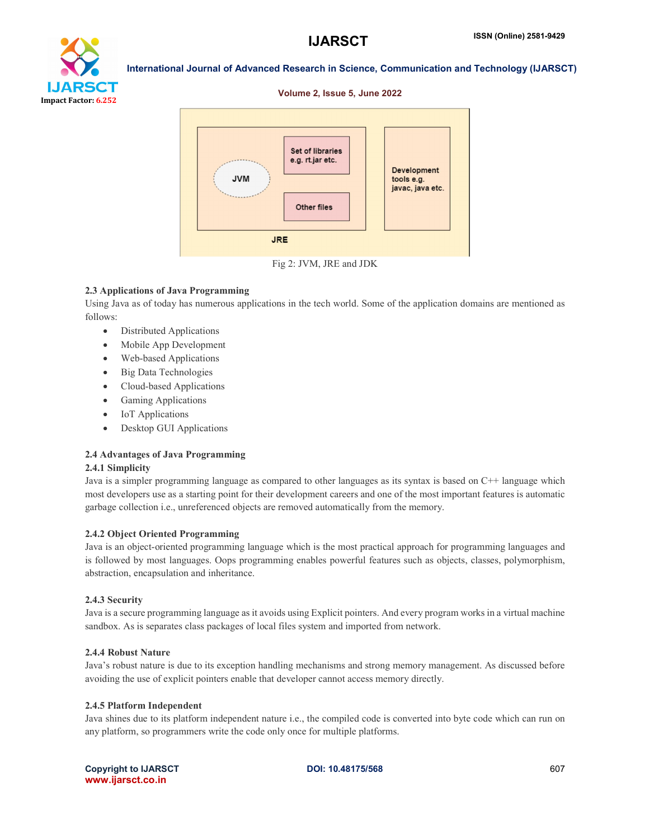

#### Volume 2, Issue 5, June 2022



Fig 2: JVM, JRE and JDK

# 2.3 Applications of Java Programming

Using Java as of today has numerous applications in the tech world. Some of the application domains are mentioned as follows:

- Distributed Applications
- Mobile App Development
- Web-based Applications
- Big Data Technologies
- Cloud-based Applications
- Gaming Applications
- IoT Applications
- Desktop GUI Applications

# 2.4 Advantages of Java Programming

# 2.4.1 Simplicity

Java is a simpler programming language as compared to other languages as its syntax is based on C++ language which most developers use as a starting point for their development careers and one of the most important features is automatic garbage collection i.e., unreferenced objects are removed automatically from the memory.

# 2.4.2 Object Oriented Programming

Java is an object-oriented programming language which is the most practical approach for programming languages and is followed by most languages. Oops programming enables powerful features such as objects, classes, polymorphism, abstraction, encapsulation and inheritance.

# 2.4.3 Security

Java is a secure programming language as it avoids using Explicit pointers. And every program works in a virtual machine sandbox. As is separates class packages of local files system and imported from network.

# 2.4.4 Robust Nature

Java's robust nature is due to its exception handling mechanisms and strong memory management. As discussed before avoiding the use of explicit pointers enable that developer cannot access memory directly.

#### 2.4.5 Platform Independent

Java shines due to its platform independent nature i.e., the compiled code is converted into byte code which can run on any platform, so programmers write the code only once for multiple platforms.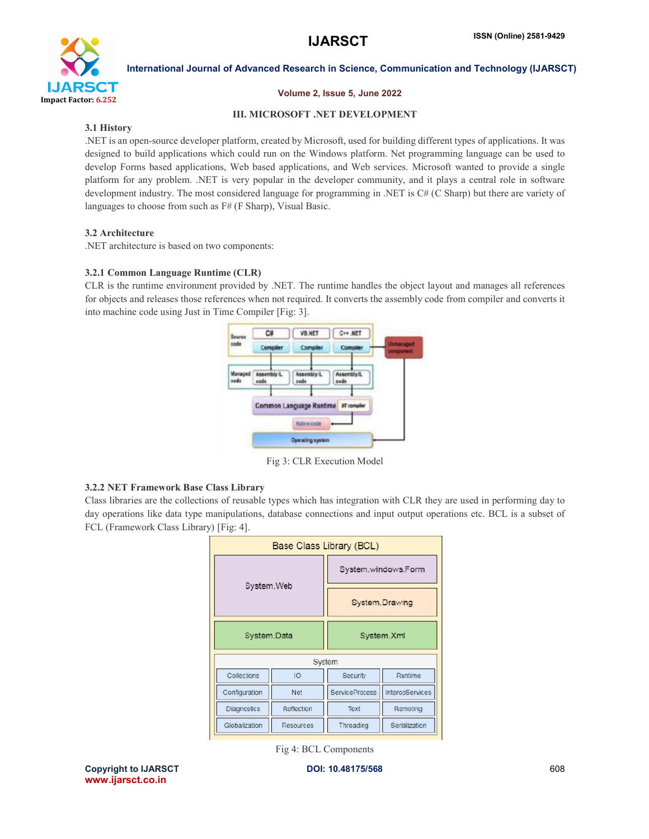

# Volume 2, Issue 5, June 2022

# III. MICROSOFT .NET DEVELOPMENT

# 3.1 History

.NET is an open-source developer platform, created by Microsoft, used for building different types of applications. It was designed to build applications which could run on the Windows platform. Net programming language can be used to develop Forms based applications, Web based applications, and Web services. Microsoft wanted to provide a single platform for any problem. .NET is very popular in the developer community, and it plays a central role in software development industry. The most considered language for programming in .NET is C# (C Sharp) but there are variety of languages to choose from such as F# (F Sharp), Visual Basic.

# 3.2 Architecture

.NET architecture is based on two components:

# 3.2.1 Common Language Runtime (CLR)

CLR is the runtime environment provided by .NET. The runtime handles the object layout and manages all references for objects and releases those references when not required. It converts the assembly code from compiler and converts it into machine code using Just in Time Compiler [Fig: 3].



Fig 3: CLR Execution Model

# 3.2.2 NET Framework Base Class Library

Class libraries are the collections of reusable types which has integration with CLR they are used in performing day to day operations like data type manipulations, database connections and input output operations etc. BCL is a subset of FCL (Framework Class Library) [Fig: 4].

|               |            | Base Class Library (BCL)              |                 |
|---------------|------------|---------------------------------------|-----------------|
| System.Web    |            | System.windows.Form<br>System.Drawing |                 |
|               |            |                                       |                 |
|               |            | System                                |                 |
| Collections   | IO         | Security                              | Runtime         |
| Configuration | Net        | <b>ServiceProcess</b>                 | InteropServices |
| Diagnostics   | Reflection | Text                                  | Remoting        |
| Globalization | Resources  | Threading                             | Serialization   |

Fig 4: BCL Components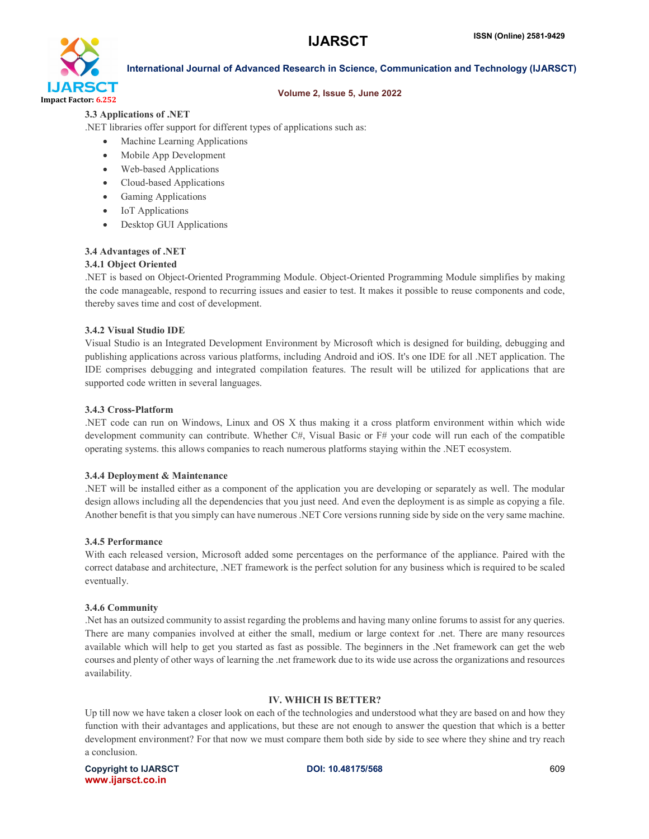

# Volume 2, Issue 5, June 2022

# 3.3 Applications of .NET

.NET libraries offer support for different types of applications such as:

- Machine Learning Applications
- Mobile App Development
- Web-based Applications
- Cloud-based Applications
- Gaming Applications
- IoT Applications
- Desktop GUI Applications

# 3.4 Advantages of .NET

# 3.4.1 Object Oriented

.NET is based on Object-Oriented Programming Module. Object-Oriented Programming Module simplifies by making the code manageable, respond to recurring issues and easier to test. It makes it possible to reuse components and code, thereby saves time and cost of development.

# 3.4.2 Visual Studio IDE

Visual Studio is an Integrated Development Environment by Microsoft which is designed for building, debugging and publishing applications across various platforms, including Android and iOS. It's one IDE for all .NET application. The IDE comprises debugging and integrated compilation features. The result will be utilized for applications that are supported code written in several languages.

# 3.4.3 Cross-Platform

.NET code can run on Windows, Linux and OS X thus making it a cross platform environment within which wide development community can contribute. Whether C#, Visual Basic or F# your code will run each of the compatible operating systems. this allows companies to reach numerous platforms staying within the .NET ecosystem.

# 3.4.4 Deployment & Maintenance

.NET will be installed either as a component of the application you are developing or separately as well. The modular design allows including all the dependencies that you just need. And even the deployment is as simple as copying a file. Another benefit is that you simply can have numerous .NET Core versions running side by side on the very same machine.

# 3.4.5 Performance

With each released version, Microsoft added some percentages on the performance of the appliance. Paired with the correct database and architecture, .NET framework is the perfect solution for any business which is required to be scaled eventually.

# 3.4.6 Community

.Net has an outsized community to assist regarding the problems and having many online forums to assist for any queries. There are many companies involved at either the small, medium or large context for .net. There are many resources available which will help to get you started as fast as possible. The beginners in the .Net framework can get the web courses and plenty of other ways of learning the .net framework due to its wide use across the organizations and resources availability.

# IV. WHICH IS BETTER?

Up till now we have taken a closer look on each of the technologies and understood what they are based on and how they function with their advantages and applications, but these are not enough to answer the question that which is a better development environment? For that now we must compare them both side by side to see where they shine and try reach a conclusion.

Copyright to IJARSCT **DOI: 10.48175/568** 609 www.ijarsct.co.in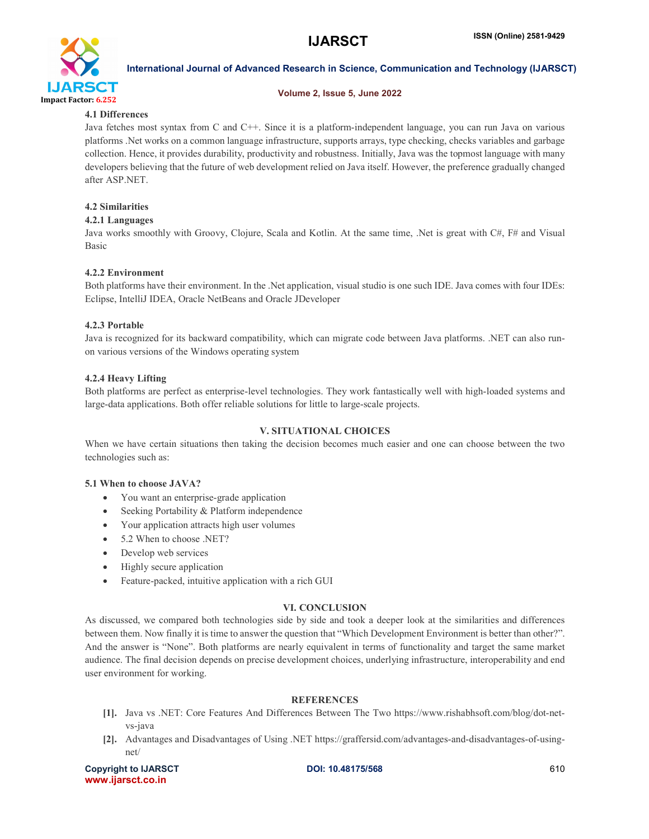

# Volume 2, Issue 5, June 2022

# 4.1 Differences

Java fetches most syntax from C and C++. Since it is a platform-independent language, you can run Java on various platforms .Net works on a common language infrastructure, supports arrays, type checking, checks variables and garbage collection. Hence, it provides durability, productivity and robustness. Initially, Java was the topmost language with many developers believing that the future of web development relied on Java itself. However, the preference gradually changed after ASP.NET.

# 4.2 Similarities

# 4.2.1 Languages

Java works smoothly with Groovy, Clojure, Scala and Kotlin. At the same time, .Net is great with C#, F# and Visual Basic

# 4.2.2 Environment

Both platforms have their environment. In the .Net application, visual studio is one such IDE. Java comes with four IDEs: Eclipse, IntelliJ IDEA, Oracle NetBeans and Oracle JDeveloper

# 4.2.3 Portable

Java is recognized for its backward compatibility, which can migrate code between Java platforms. .NET can also runon various versions of the Windows operating system

# 4.2.4 Heavy Lifting

Both platforms are perfect as enterprise-level technologies. They work fantastically well with high-loaded systems and large-data applications. Both offer reliable solutions for little to large-scale projects.

# V. SITUATIONAL CHOICES

When we have certain situations then taking the decision becomes much easier and one can choose between the two technologies such as:

# 5.1 When to choose JAVA?

- You want an enterprise-grade application
- Seeking Portability & Platform independence
- Your application attracts high user volumes
- 5.2 When to choose .NET?
- Develop web services
- Highly secure application
- Feature-packed, intuitive application with a rich GUI

# VI. CONCLUSION

As discussed, we compared both technologies side by side and took a deeper look at the similarities and differences between them. Now finally it is time to answer the question that "Which Development Environment is better than other?". And the answer is "None". Both platforms are nearly equivalent in terms of functionality and target the same market audience. The final decision depends on precise development choices, underlying infrastructure, interoperability and end user environment for working.

# **REFERENCES**

- [1]. Java vs .NET: Core Features And Differences Between The Two https://www.rishabhsoft.com/blog/dot-netvs-java
- [2]. Advantages and Disadvantages of Using .NET https://graffersid.com/advantages-and-disadvantages-of-usingnet/

Copyright to IJARSCT **DOI: 10.48175/568** 610 www.ijarsct.co.in